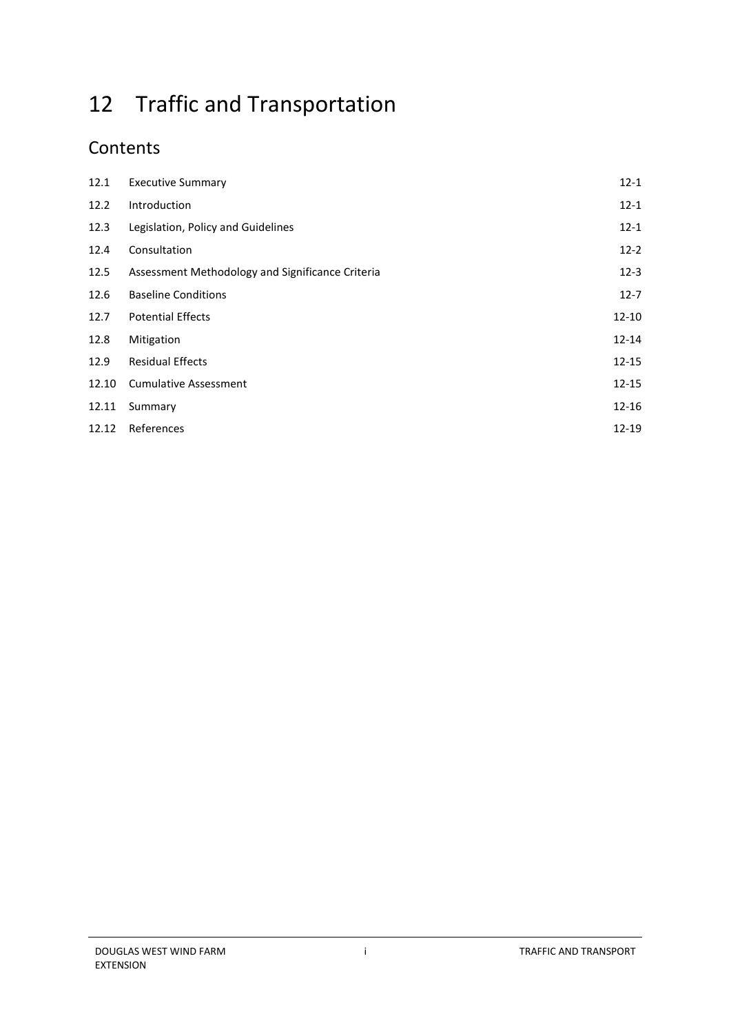# 12 Traffic and Transportation

## **Contents**

| 12.1  | <b>Executive Summary</b>                         | $12 - 1$  |
|-------|--------------------------------------------------|-----------|
| 12.2  | Introduction                                     | $12 - 1$  |
| 12.3  | Legislation, Policy and Guidelines               | $12 - 1$  |
| 12.4  | Consultation                                     | $12 - 2$  |
| 12.5  | Assessment Methodology and Significance Criteria | $12-3$    |
| 12.6  | <b>Baseline Conditions</b>                       | $12 - 7$  |
| 12.7  | <b>Potential Effects</b>                         | $12 - 10$ |
| 12.8  | Mitigation                                       | 12-14     |
| 12.9  | <b>Residual Effects</b>                          | $12 - 15$ |
| 12.10 | <b>Cumulative Assessment</b>                     | $12 - 15$ |
| 12.11 | Summary                                          | 12-16     |
| 12.12 | References                                       | 12-19     |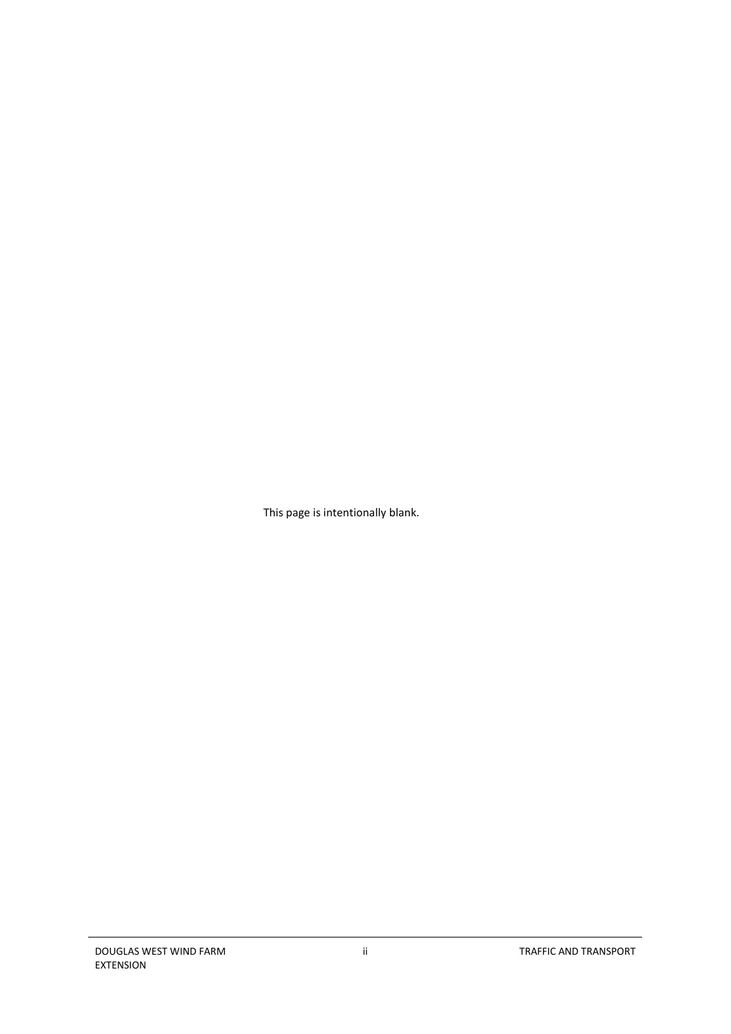This page is intentionally blank.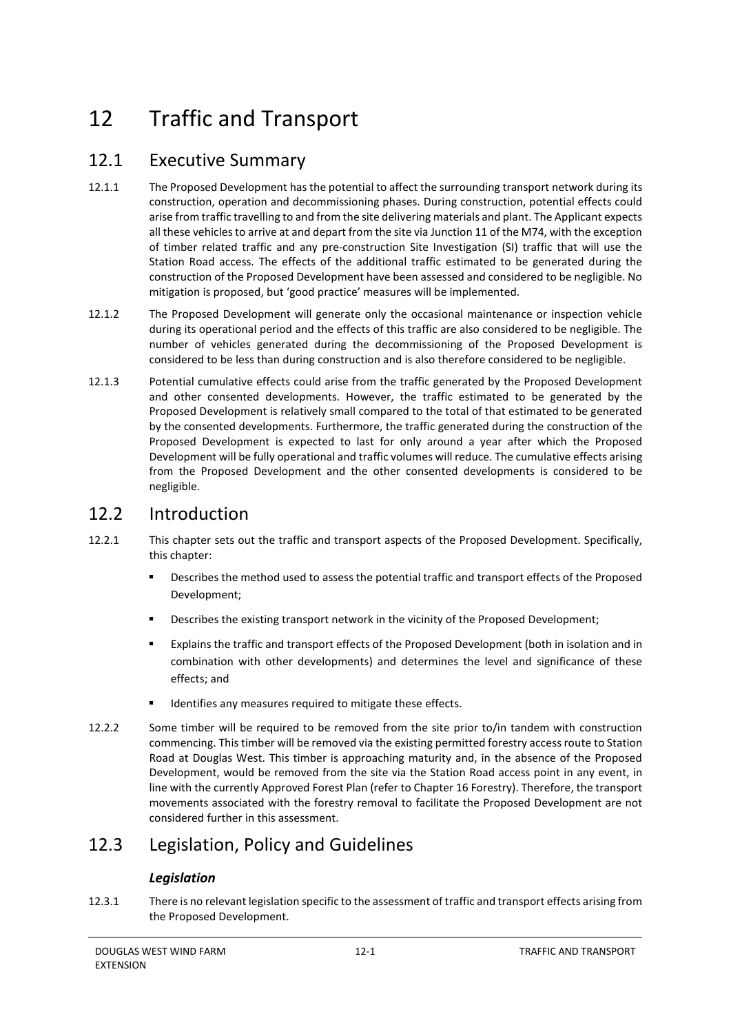# 12 Traffic and Transport

## <span id="page-2-0"></span>12.1 Executive Summary

- 12.1.1 The Proposed Development has the potential to affect the surrounding transport network during its construction, operation and decommissioning phases. During construction, potential effects could arise from traffic travelling to and from the site delivering materials and plant. The Applicant expects all these vehicles to arrive at and depart from the site via Junction 11 of the M74, with the exception of timber related traffic and any pre-construction Site Investigation (SI) traffic that will use the Station Road access. The effects of the additional traffic estimated to be generated during the construction of the Proposed Development have been assessed and considered to be negligible. No mitigation is proposed, but 'good practice' measures will be implemented.
- 12.1.2 The Proposed Development will generate only the occasional maintenance or inspection vehicle during its operational period and the effects of this traffic are also considered to be negligible. The number of vehicles generated during the decommissioning of the Proposed Development is considered to be less than during construction and is also therefore considered to be negligible.
- 12.1.3 Potential cumulative effects could arise from the traffic generated by the Proposed Development and other consented developments. However, the traffic estimated to be generated by the Proposed Development is relatively small compared to the total of that estimated to be generated by the consented developments. Furthermore, the traffic generated during the construction of the Proposed Development is expected to last for only around a year after which the Proposed Development will be fully operational and traffic volumes will reduce. The cumulative effects arising from the Proposed Development and the other consented developments is considered to be negligible.

## <span id="page-2-1"></span>12.2 Introduction

- 12.2.1 This chapter sets out the traffic and transport aspects of the Proposed Development. Specifically, this chapter:
	- **•** Describes the method used to assess the potential traffic and transport effects of the Proposed Development;
	- **EXECT** Describes the existing transport network in the vicinity of the Proposed Development;
	- Explains the traffic and transport effects of the Proposed Development (both in isolation and in combination with other developments) and determines the level and significance of these effects; and
	- Identifies any measures required to mitigate these effects.
- <span id="page-2-3"></span>12.2.2 Some timber will be required to be removed from the site prior to/in tandem with construction commencing. This timber will be removed via the existing permitted forestry access route to Station Road at Douglas West. This timber is approaching maturity and, in the absence of the Proposed Development, would be removed from the site via the Station Road access point in any event, in line with the currently Approved Forest Plan (refer to Chapter 16 Forestry). Therefore, the transport movements associated with the forestry removal to facilitate the Proposed Development are not considered further in this assessment.

## <span id="page-2-2"></span>12.3 Legislation, Policy and Guidelines

## *Legislation*

12.3.1 There is no relevant legislation specific to the assessment of traffic and transport effects arising from the Proposed Development.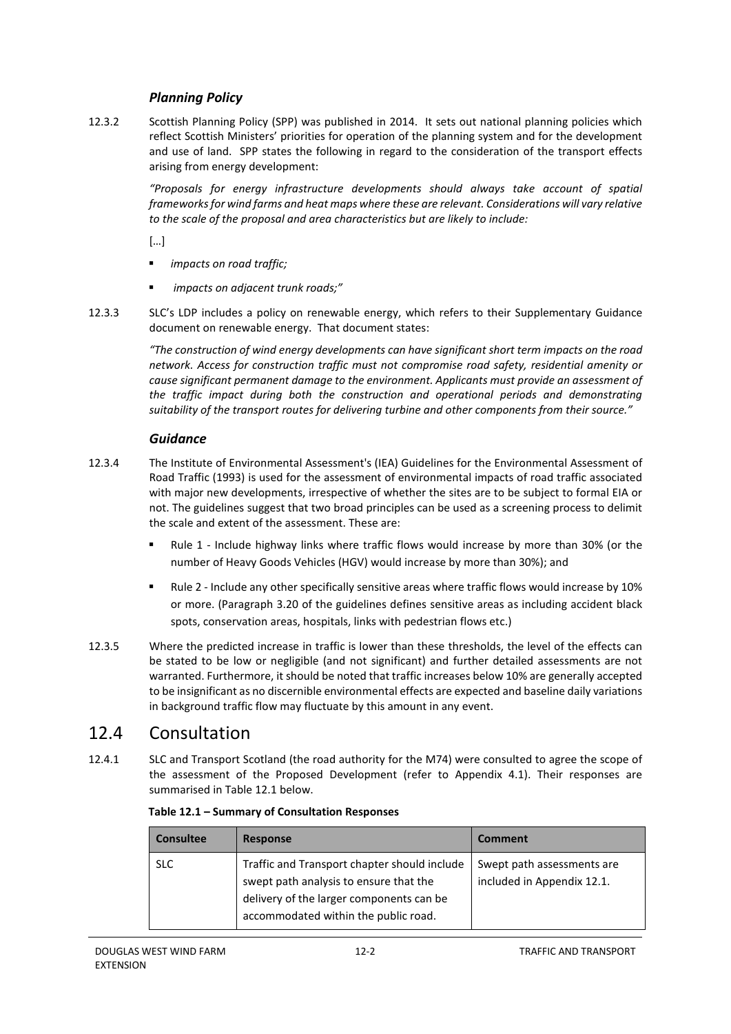### *Planning Policy*

12.3.2 Scottish Planning Policy (SPP) was published in 2014. It sets out national planning policies which reflect Scottish Ministers' priorities for operation of the planning system and for the development and use of land. SPP states the following in regard to the consideration of the transport effects arising from energy development:

> *"Proposals for energy infrastructure developments should always take account of spatial frameworks for wind farms and heat maps where these are relevant. Considerations will vary relative to the scale of the proposal and area characteristics but are likely to include:*

[…]

- *impacts on road traffic;*
- *impacts on adjacent trunk roads;"*
- 12.3.3 SLC's LDP includes a policy on renewable energy, which refers to their Supplementary Guidance document on renewable energy. That document states:

*"The construction of wind energy developments can have significant short term impacts on the road network. Access for construction traffic must not compromise road safety, residential amenity or cause significant permanent damage to the environment. Applicants must provide an assessment of the traffic impact during both the construction and operational periods and demonstrating suitability of the transport routes for delivering turbine and other components from their source."*

### *Guidance*

- <span id="page-3-2"></span>12.3.4 The Institute of Environmental Assessment's (IEA) Guidelines for the Environmental Assessment of Road Traffic (1993) is used for the assessment of environmental impacts of road traffic associated with major new developments, irrespective of whether the sites are to be subject to formal EIA or not. The guidelines suggest that two broad principles can be used as a screening process to delimit the scale and extent of the assessment. These are:
	- Rule 1 Include highway links where traffic flows would increase by more than 30% (or the number of Heavy Goods Vehicles (HGV) would increase by more than 30%); and
	- Rule 2 Include any other specifically sensitive areas where traffic flows would increase by 10% or more. (Paragraph 3.20 of the guidelines defines sensitive areas as including accident black spots, conservation areas, hospitals, links with pedestrian flows etc.)
- 12.3.5 Where the predicted increase in traffic is lower than these thresholds, the level of the effects can be stated to be low or negligible (and not significant) and further detailed assessments are not warranted. Furthermore, it should be noted that traffic increases below 10% are generally accepted to be insignificant as no discernible environmental effects are expected and baseline daily variations in background traffic flow may fluctuate by this amount in any event.

## <span id="page-3-0"></span>12.4 Consultation

<span id="page-3-1"></span>12.4.1 SLC and Transport Scotland (the road authority for the M74) were consulted to agree the scope of the assessment of the Proposed Development (refer to Appendix 4.1). Their responses are summarised in [Table 12.1](#page-3-1) [below.](#page-3-1)

| <b>Consultee</b> | <b>Response</b>                                                                                                                                                            | <b>Comment</b>                                           |
|------------------|----------------------------------------------------------------------------------------------------------------------------------------------------------------------------|----------------------------------------------------------|
| <b>SLC</b>       | Traffic and Transport chapter should include<br>swept path analysis to ensure that the<br>delivery of the larger components can be<br>accommodated within the public road. | Swept path assessments are<br>included in Appendix 12.1. |

#### **Table 12.1 – Summary of Consultation Responses**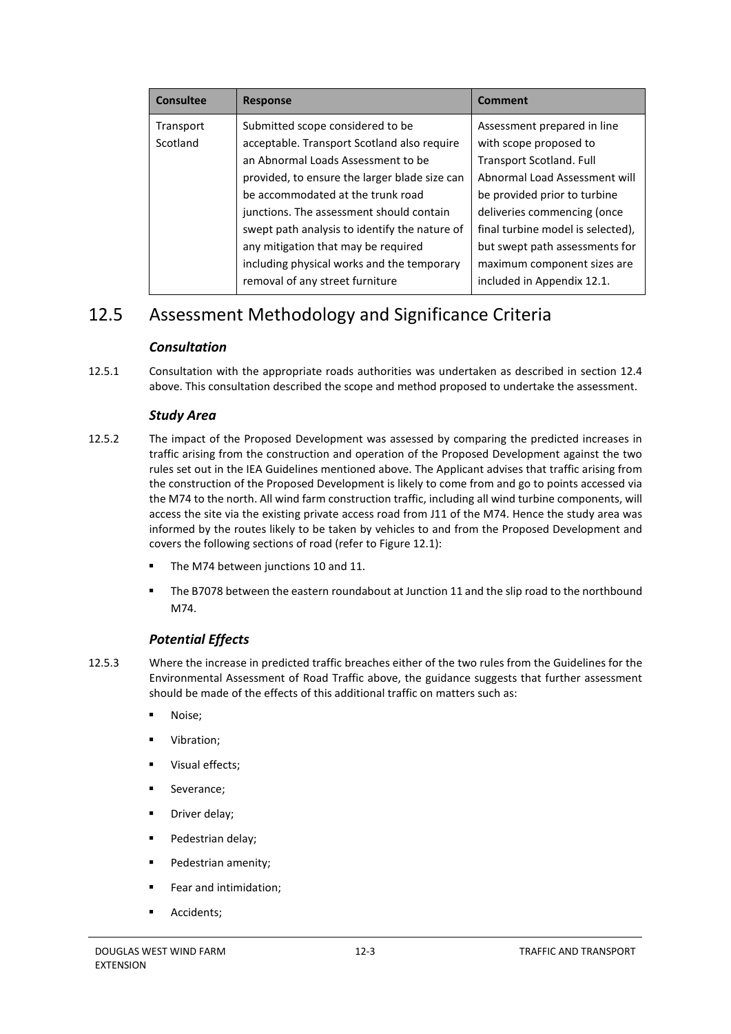| <b>Consultee</b> | <b>Response</b>                               | <b>Comment</b>                    |
|------------------|-----------------------------------------------|-----------------------------------|
| Transport        | Submitted scope considered to be              | Assessment prepared in line       |
| Scotland         | acceptable. Transport Scotland also require   | with scope proposed to            |
|                  | an Abnormal Loads Assessment to be            | <b>Transport Scotland. Full</b>   |
|                  | provided, to ensure the larger blade size can | Abnormal Load Assessment will     |
|                  | be accommodated at the trunk road             | be provided prior to turbine      |
|                  | junctions. The assessment should contain      | deliveries commencing (once       |
|                  | swept path analysis to identify the nature of | final turbine model is selected), |
|                  | any mitigation that may be required           | but swept path assessments for    |
|                  | including physical works and the temporary    | maximum component sizes are       |
|                  | removal of any street furniture               | included in Appendix 12.1.        |

## <span id="page-4-0"></span>12.5 Assessment Methodology and Significance Criteria

### *Consultation*

12.5.1 Consultation with the appropriate roads authorities was undertaken as described in section [12.4](#page-3-0) [above.](#page-3-0) This consultation described the scope and method proposed to undertake the assessment.

### *Study Area*

- 12.5.2 The impact of the Proposed Development was assessed by comparing the predicted increases in traffic arising from the construction and operation of the Proposed Development against the two rules set out in the IEA Guidelines mentioned above. The Applicant advises that traffic arising from the construction of the Proposed Development is likely to come from and go to points accessed via the M74 to the north. All wind farm construction traffic, including all wind turbine components, will access the site via the existing private access road from J11 of the M74. Hence the study area was informed by the routes likely to be taken by vehicles to and from the Proposed Development and covers the following sections of road (refer to Figure 12.1):
	- The M74 between junctions 10 and 11.
	- The B7078 between the eastern roundabout at Junction 11 and the slip road to the northbound M74.

## *Potential Effects*

- 12.5.3 Where the increase in predicted traffic breaches either of the two rules from the Guidelines for the Environmental Assessment of Road Traffic above, the guidance suggests that further assessment should be made of the effects of this additional traffic on matters such as:
	- Noise;
	- **vibration;**
	- **visual effects;**
	- Severance;
	- **Driver delay:**
	- **Pedestrian delay;**
	- **Pedestrian amenity;**
	- **Fear and intimidation;**
	- **Accidents:**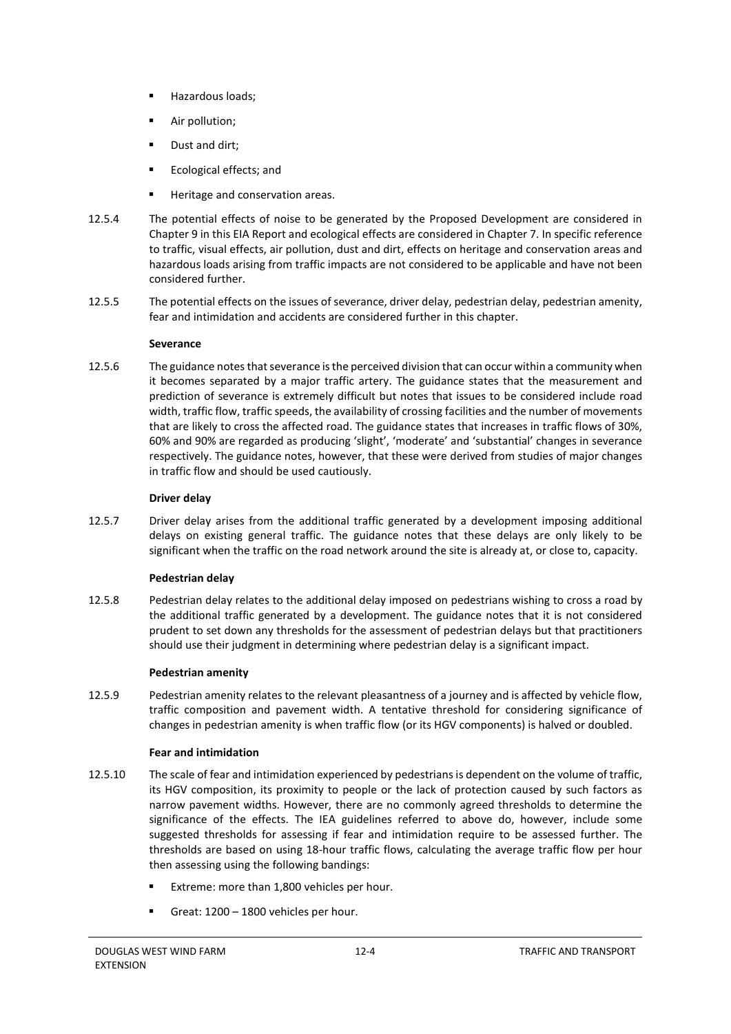- Hazardous loads;
- Air pollution;
- Dust and dirt;
- Ecological effects; and
- **Heritage and conservation areas.**
- 12.5.4 The potential effects of noise to be generated by the Proposed Development are considered in Chapter 9 in this EIA Report and ecological effects are considered in Chapter 7. In specific reference to traffic, visual effects, air pollution, dust and dirt, effects on heritage and conservation areas and hazardous loads arising from traffic impacts are not considered to be applicable and have not been considered further.
- 12.5.5 The potential effects on the issues of severance, driver delay, pedestrian delay, pedestrian amenity, fear and intimidation and accidents are considered further in this chapter.

#### **Severance**

12.5.6 The guidance notes that severance is the perceived division that can occur within a community when it becomes separated by a major traffic artery. The guidance states that the measurement and prediction of severance is extremely difficult but notes that issues to be considered include road width, traffic flow, traffic speeds, the availability of crossing facilities and the number of movements that are likely to cross the affected road. The guidance states that increases in traffic flows of 30%, 60% and 90% are regarded as producing 'slight', 'moderate' and 'substantial' changes in severance respectively. The guidance notes, however, that these were derived from studies of major changes in traffic flow and should be used cautiously.

#### **Driver delay**

12.5.7 Driver delay arises from the additional traffic generated by a development imposing additional delays on existing general traffic. The guidance notes that these delays are only likely to be significant when the traffic on the road network around the site is already at, or close to, capacity.

#### **Pedestrian delay**

12.5.8 Pedestrian delay relates to the additional delay imposed on pedestrians wishing to cross a road by the additional traffic generated by a development. The guidance notes that it is not considered prudent to set down any thresholds for the assessment of pedestrian delays but that practitioners should use their judgment in determining where pedestrian delay is a significant impact.

#### **Pedestrian amenity**

12.5.9 Pedestrian amenity relates to the relevant pleasantness of a journey and is affected by vehicle flow, traffic composition and pavement width. A tentative threshold for considering significance of changes in pedestrian amenity is when traffic flow (or its HGV components) is halved or doubled.

#### **Fear and intimidation**

- 12.5.10 The scale of fear and intimidation experienced by pedestrians is dependent on the volume of traffic, its HGV composition, its proximity to people or the lack of protection caused by such factors as narrow pavement widths. However, there are no commonly agreed thresholds to determine the significance of the effects. The IEA guidelines referred to above do, however, include some suggested thresholds for assessing if fear and intimidation require to be assessed further. The thresholds are based on using 18-hour traffic flows, calculating the average traffic flow per hour then assessing using the following bandings:
	- Extreme: more than 1,800 vehicles per hour.
	- Great: 1200 1800 vehicles per hour.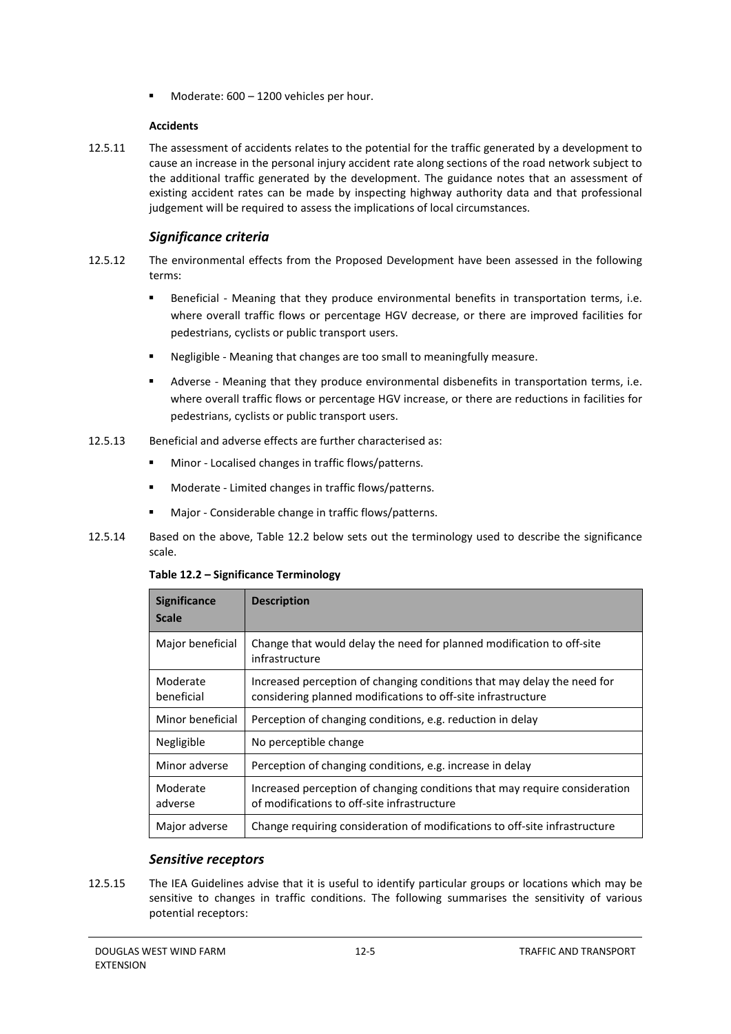Moderate: 600 - 1200 vehicles per hour.

### **Accidents**

12.5.11 The assessment of accidents relates to the potential for the traffic generated by a development to cause an increase in the personal injury accident rate along sections of the road network subject to the additional traffic generated by the development. The guidance notes that an assessment of existing accident rates can be made by inspecting highway authority data and that professional judgement will be required to assess the implications of local circumstances.

## *Significance criteria*

- 12.5.12 The environmental effects from the Proposed Development have been assessed in the following terms:
	- **Beneficial Meaning that they produce environmental benefits in transportation terms, i.e.** where overall traffic flows or percentage HGV decrease, or there are improved facilities for pedestrians, cyclists or public transport users.
	- Negligible Meaning that changes are too small to meaningfully measure.
	- Adverse Meaning that they produce environmental disbenefits in transportation terms, i.e. where overall traffic flows or percentage HGV increase, or there are reductions in facilities for pedestrians, cyclists or public transport users.
- 12.5.13 Beneficial and adverse effects are further characterised as:
	- Minor Localised changes in traffic flows/patterns.
	- **Moderate Limited changes in traffic flows/patterns.**
	- Major Considerable change in traffic flows/patterns.
- <span id="page-6-0"></span>12.5.14 Based on the above, [Table 12.2](#page-6-0) [below](#page-6-0) sets out the terminology used to describe the significance scale.

**Table 12.2 – Significance Terminology**

| <b>Significance</b><br><b>Scale</b> | <b>Description</b>                                                                                                                      |
|-------------------------------------|-----------------------------------------------------------------------------------------------------------------------------------------|
| Major beneficial                    | Change that would delay the need for planned modification to off-site<br>infrastructure                                                 |
| Moderate<br>beneficial              | Increased perception of changing conditions that may delay the need for<br>considering planned modifications to off-site infrastructure |
| Minor beneficial                    | Perception of changing conditions, e.g. reduction in delay                                                                              |
| Negligible                          | No perceptible change                                                                                                                   |
| Minor adverse                       | Perception of changing conditions, e.g. increase in delay                                                                               |
| Moderate<br>adverse                 | Increased perception of changing conditions that may require consideration<br>of modifications to off-site infrastructure               |
| Major adverse                       | Change requiring consideration of modifications to off-site infrastructure                                                              |

### *Sensitive receptors*

12.5.15 The IEA Guidelines advise that it is useful to identify particular groups or locations which may be sensitive to changes in traffic conditions. The following summarises the sensitivity of various potential receptors: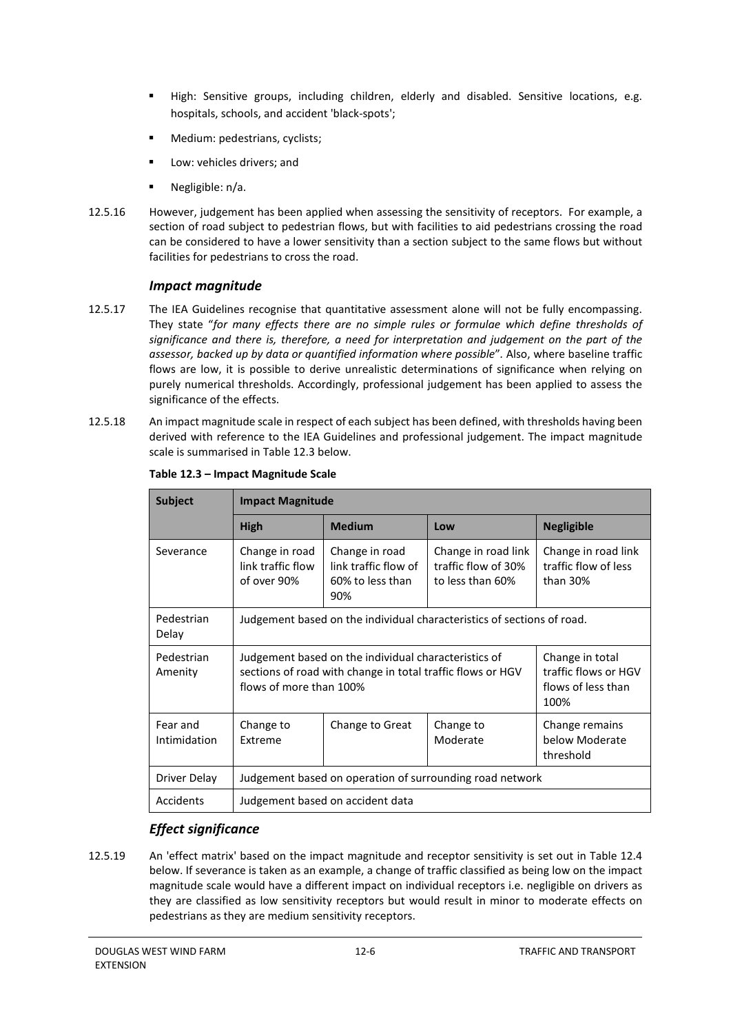- High: Sensitive groups, including children, elderly and disabled. Sensitive locations, e.g. hospitals, schools, and accident 'black-spots';
- Medium: pedestrians, cyclists;
- Low: vehicles drivers; and
- **Negligible:** n/a.
- 12.5.16 However, judgement has been applied when assessing the sensitivity of receptors. For example, a section of road subject to pedestrian flows, but with facilities to aid pedestrians crossing the road can be considered to have a lower sensitivity than a section subject to the same flows but without facilities for pedestrians to cross the road.

### *Impact magnitude*

- 12.5.17 The IEA Guidelines recognise that quantitative assessment alone will not be fully encompassing. They state "*for many effects there are no simple rules or formulae which define thresholds of significance and there is, therefore, a need for interpretation and judgement on the part of the assessor, backed up by data or quantified information where possible*"*.* Also, where baseline traffic flows are low, it is possible to derive unrealistic determinations of significance when relying on purely numerical thresholds. Accordingly, professional judgement has been applied to assess the significance of the effects.
- <span id="page-7-0"></span>12.5.18 An impact magnitude scale in respect of each subject has been defined, with thresholds having been derived with reference to the IEA Guidelines and professional judgement. The impact magnitude scale is summarised in [Table 12.3](#page-7-0) [below.](#page-7-0)

| <b>Subject</b>                                                             | <b>Impact Magnitude</b>                                                                                                 |                                                                                                                    |                                                                |                                                                       |  |
|----------------------------------------------------------------------------|-------------------------------------------------------------------------------------------------------------------------|--------------------------------------------------------------------------------------------------------------------|----------------------------------------------------------------|-----------------------------------------------------------------------|--|
| High                                                                       |                                                                                                                         | <b>Medium</b>                                                                                                      | Low                                                            | <b>Negligible</b>                                                     |  |
| Severance                                                                  | Change in road<br>Change in road<br>link traffic flow<br>link traffic flow of<br>of over 90%<br>60% to less than<br>90% |                                                                                                                    | Change in road link<br>traffic flow of 30%<br>to less than 60% | Change in road link<br>traffic flow of less<br>than $30%$             |  |
| Pedestrian<br>Delay                                                        | Judgement based on the individual characteristics of sections of road.                                                  |                                                                                                                    |                                                                |                                                                       |  |
| Pedestrian<br>Amenity                                                      | flows of more than 100%                                                                                                 | Judgement based on the individual characteristics of<br>sections of road with change in total traffic flows or HGV |                                                                | Change in total<br>traffic flows or HGV<br>flows of less than<br>100% |  |
| Fear and<br>Change to<br>Change to Great<br>Intimidation<br><b>Extreme</b> |                                                                                                                         | Change to<br>Moderate                                                                                              | Change remains<br>below Moderate<br>threshold                  |                                                                       |  |
| <b>Driver Delay</b>                                                        | Judgement based on operation of surrounding road network                                                                |                                                                                                                    |                                                                |                                                                       |  |
| Accidents                                                                  | Judgement based on accident data                                                                                        |                                                                                                                    |                                                                |                                                                       |  |

#### **Table 12.3 – Impact Magnitude Scale**

## *Effect significance*

12.5.19 An 'effect matrix' based on the impact magnitude and receptor sensitivity is set out in [Table 12.4](#page-8-1) [below.](#page-8-1) If severance is taken as an example, a change of traffic classified as being low on the impact magnitude scale would have a different impact on individual receptors i.e. negligible on drivers as they are classified as low sensitivity receptors but would result in minor to moderate effects on pedestrians as they are medium sensitivity receptors.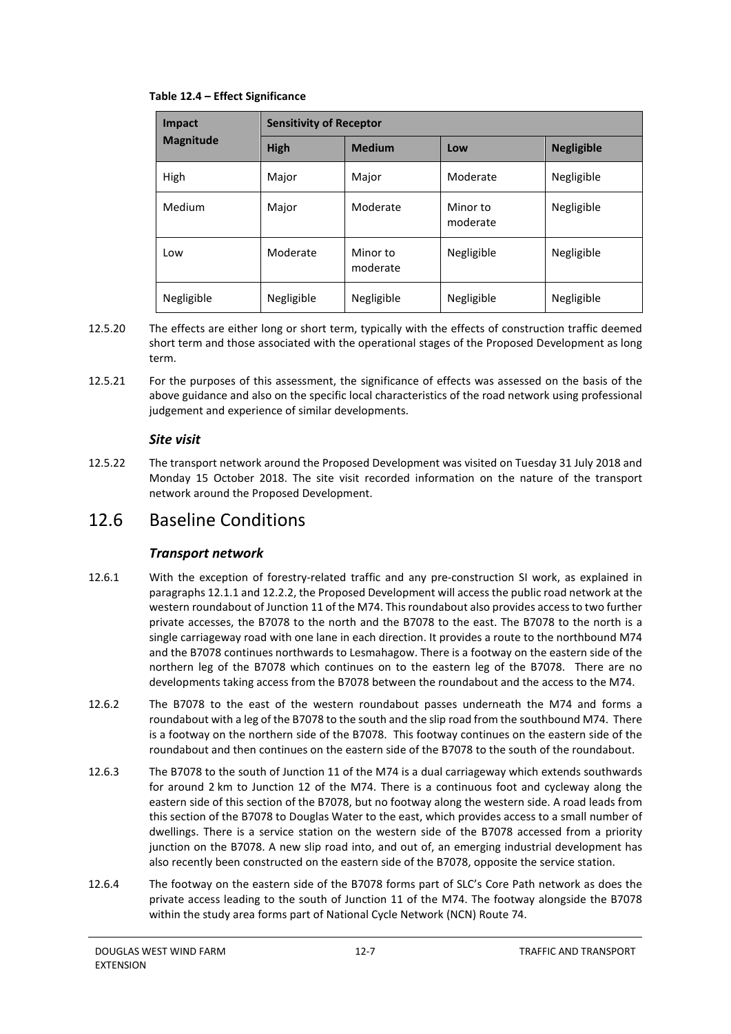#### <span id="page-8-1"></span>**Table 12.4 – Effect Significance**

| Impact           | <b>Sensitivity of Receptor</b> |                      |                      |                   |  |  |
|------------------|--------------------------------|----------------------|----------------------|-------------------|--|--|
| <b>Magnitude</b> | High                           | <b>Medium</b>        | Low                  | <b>Negligible</b> |  |  |
| High             | Major                          | Major                | Moderate             | Negligible        |  |  |
| Medium           | Major                          | Moderate             | Minor to<br>moderate | Negligible        |  |  |
| Low              | Moderate                       | Minor to<br>moderate | Negligible           | Negligible        |  |  |
| Negligible       | Negligible                     | Negligible           | Negligible           | Negligible        |  |  |

- 12.5.20 The effects are either long or short term, typically with the effects of construction traffic deemed short term and those associated with the operational stages of the Proposed Development as long term.
- 12.5.21 For the purposes of this assessment, the significance of effects was assessed on the basis of the above guidance and also on the specific local characteristics of the road network using professional judgement and experience of similar developments.

### *Site visit*

12.5.22 The transport network around the Proposed Development was visited on Tuesday 31 July 2018 and Monday 15 October 2018. The site visit recorded information on the nature of the transport network around the Proposed Development.

## <span id="page-8-0"></span>12.6 Baseline Conditions

## *Transport network*

- 12.6.1 With the exception of forestry-related traffic and any pre-construction SI work, as explained in paragraphs 12.1.1 and [12.2.2,](#page-2-3) the Proposed Development will access the public road network at the western roundabout of Junction 11 of the M74. This roundabout also provides access to two further private accesses, the B7078 to the north and the B7078 to the east. The B7078 to the north is a single carriageway road with one lane in each direction. It provides a route to the northbound M74 and the B7078 continues northwards to Lesmahagow. There is a footway on the eastern side of the northern leg of the B7078 which continues on to the eastern leg of the B7078. There are no developments taking access from the B7078 between the roundabout and the access to the M74.
- 12.6.2 The B7078 to the east of the western roundabout passes underneath the M74 and forms a roundabout with a leg of the B7078 to the south and the slip road from the southbound M74. There is a footway on the northern side of the B7078. This footway continues on the eastern side of the roundabout and then continues on the eastern side of the B7078 to the south of the roundabout.
- 12.6.3 The B7078 to the south of Junction 11 of the M74 is a dual carriageway which extends southwards for around 2 km to Junction 12 of the M74. There is a continuous foot and cycleway along the eastern side of this section of the B7078, but no footway along the western side. A road leads from this section of the B7078 to Douglas Water to the east, which provides access to a small number of dwellings. There is a service station on the western side of the B7078 accessed from a priority junction on the B7078. A new slip road into, and out of, an emerging industrial development has also recently been constructed on the eastern side of the B7078, opposite the service station.
- 12.6.4 The footway on the eastern side of the B7078 forms part of SLC's Core Path network as does the private access leading to the south of Junction 11 of the M74. The footway alongside the B7078 within the study area forms part of National Cycle Network (NCN) Route 74.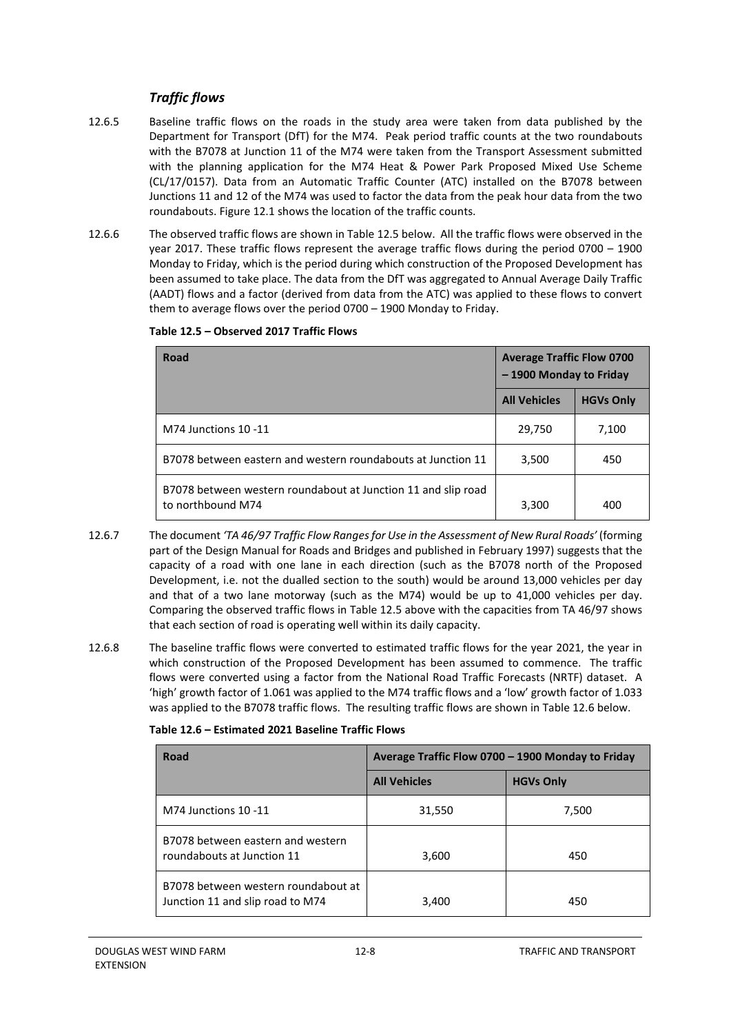## *Traffic flows*

- 12.6.5 Baseline traffic flows on the roads in the study area were taken from data published by the Department for Transport (DfT) for the M74. Peak period traffic counts at the two roundabouts with the B7078 at Junction 11 of the M74 were taken from the Transport Assessment submitted with the planning application for the M74 Heat & Power Park Proposed Mixed Use Scheme (CL/17/0157). Data from an Automatic Traffic Counter (ATC) installed on the B7078 between Junctions 11 and 12 of the M74 was used to factor the data from the peak hour data from the two roundabouts. Figure 12.1 shows the location of the traffic counts.
- 12.6.6 The observed traffic flows are shown in [Table 12.5](#page-9-0) [below.](#page-9-0) All the traffic flows were observed in the year 2017. These traffic flows represent the average traffic flows during the period 0700 – 1900 Monday to Friday, which is the period during which construction of the Proposed Development has been assumed to take place. The data from the DfT was aggregated to Annual Average Daily Traffic (AADT) flows and a factor (derived from data from the ATC) was applied to these flows to convert them to average flows over the period 0700 – 1900 Monday to Friday.

| Road                                                                               | <b>Average Traffic Flow 0700</b><br>- 1900 Monday to Friday |                  |  |
|------------------------------------------------------------------------------------|-------------------------------------------------------------|------------------|--|
|                                                                                    | <b>All Vehicles</b>                                         | <b>HGVs Only</b> |  |
| M74 Junctions 10 -11                                                               | 29,750                                                      | 7,100            |  |
| B7078 between eastern and western roundabouts at Junction 11                       | 3,500                                                       | 450              |  |
| B7078 between western roundabout at Junction 11 and slip road<br>to northbound M74 | 3,300                                                       | 400              |  |

#### <span id="page-9-0"></span>**Table 12.5 – Observed 2017 Traffic Flows**

- 12.6.7 The document *'TA 46/97 Traffic Flow Ranges for Use in the Assessment of New Rural Roads'* (forming part of the Design Manual for Roads and Bridges and published in February 1997) suggests that the capacity of a road with one lane in each direction (such as the B7078 north of the Proposed Development, i.e. not the dualled section to the south) would be around 13,000 vehicles per day and that of a two lane motorway (such as the M74) would be up to 41,000 vehicles per day. Comparing the observed traffic flows in [Table 12.5](#page-9-0) [above](#page-9-0) with the capacities from TA 46/97 shows that each section of road is operating well within its daily capacity.
- 12.6.8 The baseline traffic flows were converted to estimated traffic flows for the year 2021, the year in which construction of the Proposed Development has been assumed to commence. The traffic flows were converted using a factor from the National Road Traffic Forecasts (NRTF) dataset. A 'high' growth factor of 1.061 was applied to the M74 traffic flows and a 'low' growth factor of 1.033 was applied to the B7078 traffic flows. The resulting traffic flows are shown in [Table 12.6](#page-9-1) [below.](#page-9-1)

| Road                                                                    | Average Traffic Flow 0700 - 1900 Monday to Friday |                  |  |  |
|-------------------------------------------------------------------------|---------------------------------------------------|------------------|--|--|
|                                                                         | <b>All Vehicles</b>                               | <b>HGVs Only</b> |  |  |
| M74 Junctions 10 -11                                                    | 31,550                                            | 7,500            |  |  |
| B7078 between eastern and western<br>roundabouts at Junction 11         | 3,600                                             | 450              |  |  |
| B7078 between western roundabout at<br>Junction 11 and slip road to M74 | 3,400                                             | 450              |  |  |

#### <span id="page-9-1"></span>**Table 12.6 – Estimated 2021 Baseline Traffic Flows**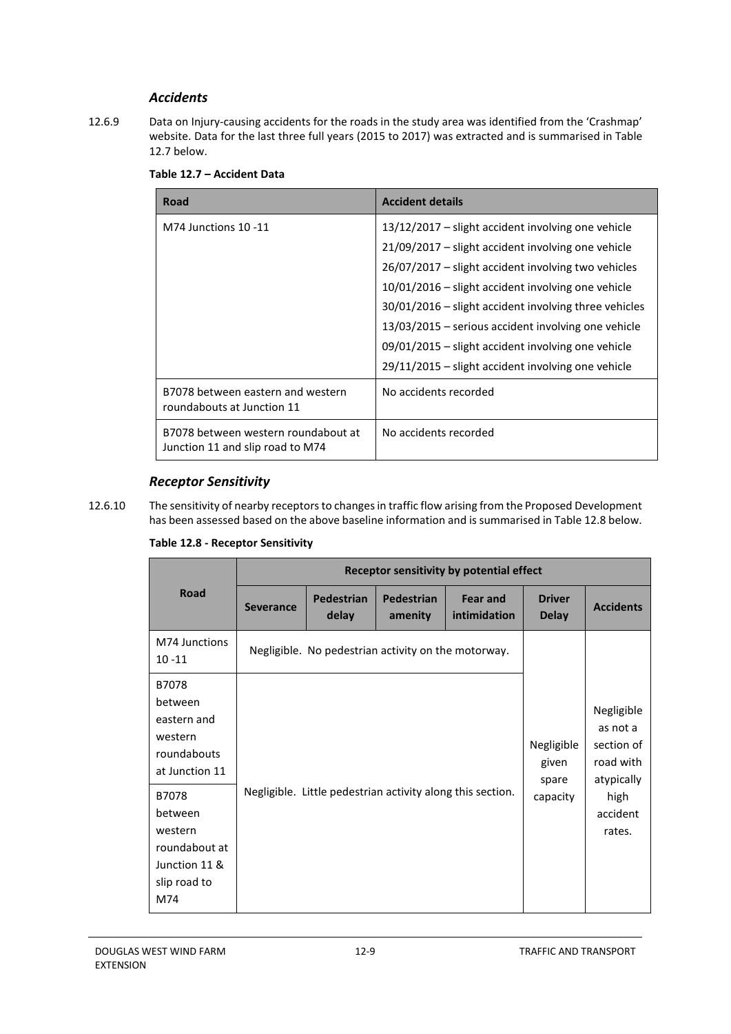## *Accidents*

<span id="page-10-0"></span>12.6.9 Data on Injury-causing accidents for the roads in the study area was identified from the 'Crashmap' website. Data for the last three full years (2015 to 2017) was extracted and is summarised in [Table](#page-10-0)  [12.7](#page-10-0) [below.](#page-10-0)

| Road                                                                    | <b>Accident details</b>                               |
|-------------------------------------------------------------------------|-------------------------------------------------------|
| M74 Junctions 10 -11                                                    | $13/12/2017$ – slight accident involving one vehicle  |
|                                                                         | 21/09/2017 - slight accident involving one vehicle    |
|                                                                         | 26/07/2017 - slight accident involving two vehicles   |
|                                                                         | 10/01/2016 - slight accident involving one vehicle    |
|                                                                         | 30/01/2016 - slight accident involving three vehicles |
|                                                                         | 13/03/2015 - serious accident involving one vehicle   |
|                                                                         | 09/01/2015 - slight accident involving one vehicle    |
|                                                                         | 29/11/2015 - slight accident involving one vehicle    |
| B7078 between eastern and western<br>roundabouts at Junction 11         | No accidents recorded                                 |
| B7078 between western roundabout at<br>Junction 11 and slip road to M74 | No accidents recorded                                 |

### **Table 12.7 – Accident Data**

### *Receptor Sensitivity*

<span id="page-10-1"></span>12.6.10 The sensitivity of nearby receptors to changes in traffic flow arising from the Proposed Development has been assessed based on the above baseline information and is summarised in [Table 12.8](#page-10-1) [below.](#page-10-1)

**Table 12.8 - Receptor Sensitivity**

|                                                                                      | Receptor sensitivity by potential effect            |                                                            |                       |                                 |                               |                                                                 |
|--------------------------------------------------------------------------------------|-----------------------------------------------------|------------------------------------------------------------|-----------------------|---------------------------------|-------------------------------|-----------------------------------------------------------------|
| <b>Road</b>                                                                          | <b>Severance</b>                                    | Pedestrian<br>delay                                        | Pedestrian<br>amenity | <b>Fear and</b><br>intimidation | <b>Driver</b><br><b>Delay</b> | <b>Accidents</b>                                                |
| M74 Junctions<br>$10 - 11$                                                           | Negligible. No pedestrian activity on the motorway. |                                                            |                       |                                 |                               |                                                                 |
| B7078<br>between<br>eastern and<br>western<br>roundabouts<br>at Junction 11          |                                                     |                                                            |                       |                                 | Negligible<br>given<br>spare  | Negligible<br>as not a<br>section of<br>road with<br>atypically |
| B7078<br>between<br>western<br>roundabout at<br>Junction 11 &<br>slip road to<br>M74 |                                                     | Negligible. Little pedestrian activity along this section. |                       |                                 | capacity                      | high<br>accident<br>rates.                                      |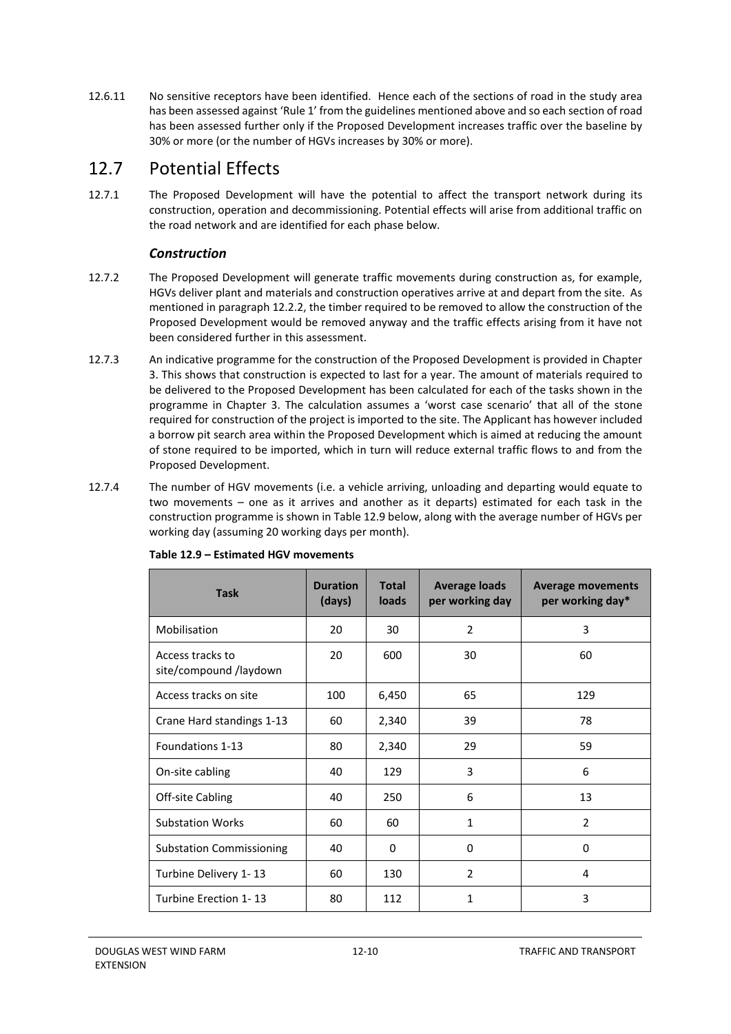12.6.11 No sensitive receptors have been identified. Hence each of the sections of road in the study area has been assessed against 'Rule 1' from the guidelines mentioned above and so each section of road has been assessed further only if the Proposed Development increases traffic over the baseline by 30% or more (or the number of HGVs increases by 30% or more).

## <span id="page-11-0"></span>12.7 Potential Effects

12.7.1 The Proposed Development will have the potential to affect the transport network during its construction, operation and decommissioning. Potential effects will arise from additional traffic on the road network and are identified for each phase below.

## *Construction*

- 12.7.2 The Proposed Development will generate traffic movements during construction as, for example, HGVs deliver plant and materials and construction operatives arrive at and depart from the site. As mentioned in paragraph [12.2.2,](#page-2-3) the timber required to be removed to allow the construction of the Proposed Development would be removed anyway and the traffic effects arising from it have not been considered further in this assessment.
- 12.7.3 An indicative programme for the construction of the Proposed Development is provided in Chapter 3. This shows that construction is expected to last for a year. The amount of materials required to be delivered to the Proposed Development has been calculated for each of the tasks shown in the programme in Chapter 3. The calculation assumes a 'worst case scenario' that all of the stone required for construction of the project is imported to the site. The Applicant has however included a borrow pit search area within the Proposed Development which is aimed at reducing the amount of stone required to be imported, which in turn will reduce external traffic flows to and from the Proposed Development.
- 12.7.4 The number of HGV movements (i.e. a vehicle arriving, unloading and departing would equate to two movements – one as it arrives and another as it departs) estimated for each task in the construction programme is shown in [Table 12.9](#page-11-1) [below,](#page-11-1) along with the average number of HGVs per working day (assuming 20 working days per month).

| <b>Task</b>                                | <b>Duration</b><br>(days) | <b>Total</b><br>loads | <b>Average loads</b><br>per working day | <b>Average movements</b><br>per working day* |
|--------------------------------------------|---------------------------|-----------------------|-----------------------------------------|----------------------------------------------|
| Mobilisation                               | 20                        | 30                    | $\overline{2}$                          | 3                                            |
| Access tracks to<br>site/compound /laydown | 20                        | 600                   | 30                                      | 60                                           |
| Access tracks on site                      | 100                       | 6,450                 | 65                                      | 129                                          |
| Crane Hard standings 1-13                  | 60                        | 2,340                 | 39                                      | 78                                           |
| <b>Foundations 1-13</b>                    | 80                        | 2,340                 | 29                                      | 59                                           |
| On-site cabling                            | 40                        | 129                   | 3                                       | 6                                            |
| Off-site Cabling                           | 40                        | 250                   | 6                                       | 13                                           |
| <b>Substation Works</b>                    | 60                        | 60                    | $\mathbf{1}$                            | $\mathcal{P}$                                |
| <b>Substation Commissioning</b>            | 40                        | 0                     | 0                                       | 0                                            |
| Turbine Delivery 1-13                      | 60                        | 130                   | $\overline{2}$                          | 4                                            |
| Turbine Erection 1-13                      | 80                        | 112                   | 1                                       | 3                                            |

### <span id="page-11-1"></span>**Table 12.9 – Estimated HGV movements**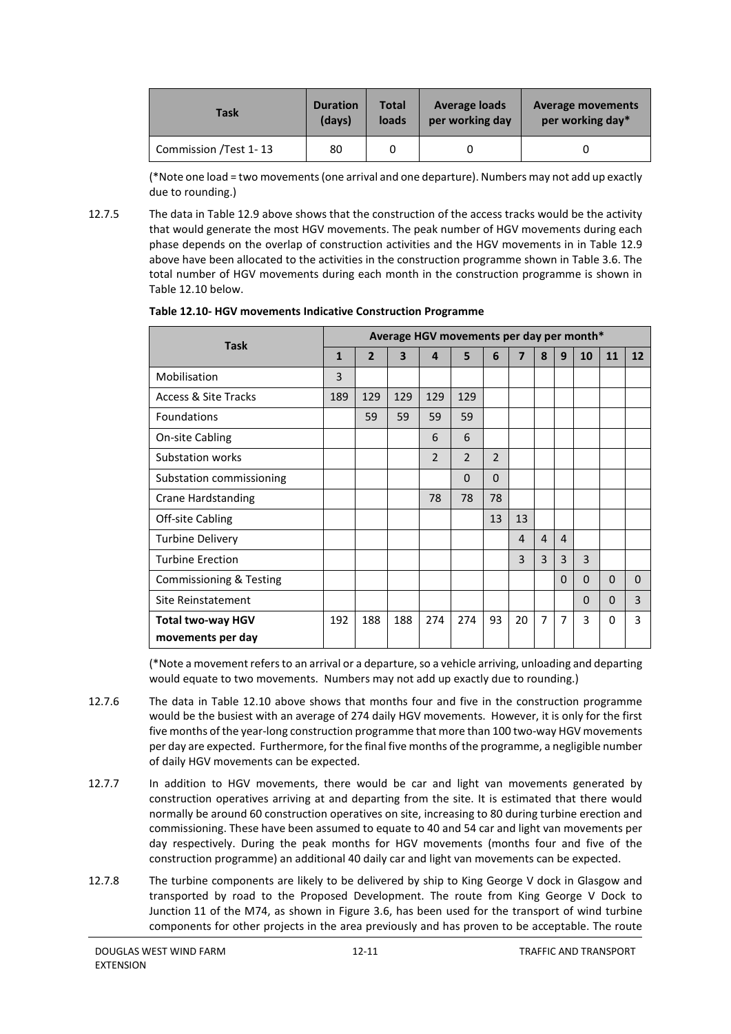| Task                   | <b>Duration</b> | Total | <b>Average loads</b> | <b>Average movements</b> |
|------------------------|-----------------|-------|----------------------|--------------------------|
|                        | (days)          | loads | per working day      | per working day*         |
| Commission / Test 1-13 | 80              |       |                      |                          |

(\*Note one load = two movements (one arrival and one departure). Numbers may not add up exactly due to rounding.)

12.7.5 The data in [Table 12.9](#page-11-1) [above](#page-11-1) shows that the construction of the access tracks would be the activity that would generate the most HGV movements. The peak number of HGV movements during each phase depends on the overlap of construction activities and the HGV movements in in [Table 12.9](#page-11-1) [above](#page-11-1) have been allocated to the activities in the construction programme shown in Table 3.6. The total number of HGV movements during each month in the construction programme is shown in [Table 12.10](#page-12-0) [below.](#page-12-0)

| <b>Task</b>                        |     | Average HGV movements per day per month* |     |     |                |                |                |                |                |          |          |                 |
|------------------------------------|-----|------------------------------------------|-----|-----|----------------|----------------|----------------|----------------|----------------|----------|----------|-----------------|
|                                    |     | $\overline{2}$                           | 3   | 4   | 5              | 6              | 7              | 8              | 9              | 10       | 11       | 12 <sup>2</sup> |
| Mobilisation                       | 3   |                                          |     |     |                |                |                |                |                |          |          |                 |
| <b>Access &amp; Site Tracks</b>    | 189 | 129                                      | 129 | 129 | 129            |                |                |                |                |          |          |                 |
| <b>Foundations</b>                 |     | 59                                       | 59  | 59  | 59             |                |                |                |                |          |          |                 |
| On-site Cabling                    |     |                                          |     | 6   | 6              |                |                |                |                |          |          |                 |
| Substation works                   |     |                                          |     | 2   | $\overline{2}$ | $\overline{2}$ |                |                |                |          |          |                 |
| Substation commissioning           |     |                                          |     |     | $\Omega$       | $\Omega$       |                |                |                |          |          |                 |
| Crane Hardstanding                 |     |                                          |     | 78  | 78             | 78             |                |                |                |          |          |                 |
| Off-site Cabling                   |     |                                          |     |     |                | 13             | 13             |                |                |          |          |                 |
| <b>Turbine Delivery</b>            |     |                                          |     |     |                |                | $\overline{4}$ | 4              | $\overline{4}$ |          |          |                 |
| <b>Turbine Erection</b>            |     |                                          |     |     |                |                | 3              | 3              | 3              | 3        |          |                 |
| <b>Commissioning &amp; Testing</b> |     |                                          |     |     |                |                |                |                | $\Omega$       | $\Omega$ | $\Omega$ | $\Omega$        |
| <b>Site Reinstatement</b>          |     |                                          |     |     |                |                |                |                |                | $\Omega$ | $\Omega$ | 3               |
| Total two-way HGV                  | 192 | 188                                      | 188 | 274 | 274            | 93             | 20             | $\overline{7}$ | $\overline{7}$ | 3        | $\Omega$ | 3               |
| movements per day                  |     |                                          |     |     |                |                |                |                |                |          |          |                 |

<span id="page-12-0"></span>**Table 12.10- HGV movements Indicative Construction Programme**

(\*Note a movement refers to an arrival or a departure, so a vehicle arriving, unloading and departing would equate to two movements. Numbers may not add up exactly due to rounding.)

- 12.7.6 The data in [Table 12.10](#page-12-0) [above](#page-12-0) shows that months four and five in the construction programme would be the busiest with an average of 274 daily HGV movements. However, it is only for the first five months of the year-long construction programme that more than 100 two-way HGV movements per day are expected. Furthermore, for the final five months of the programme, a negligible number of daily HGV movements can be expected.
- 12.7.7 In addition to HGV movements, there would be car and light van movements generated by construction operatives arriving at and departing from the site. It is estimated that there would normally be around 60 construction operatives on site, increasing to 80 during turbine erection and commissioning. These have been assumed to equate to 40 and 54 car and light van movements per day respectively. During the peak months for HGV movements (months four and five of the construction programme) an additional 40 daily car and light van movements can be expected.
- 12.7.8 The turbine components are likely to be delivered by ship to King George V dock in Glasgow and transported by road to the Proposed Development. The route from King George V Dock to Junction 11 of the M74, as shown in Figure 3.6, has been used for the transport of wind turbine components for other projects in the area previously and has proven to be acceptable. The route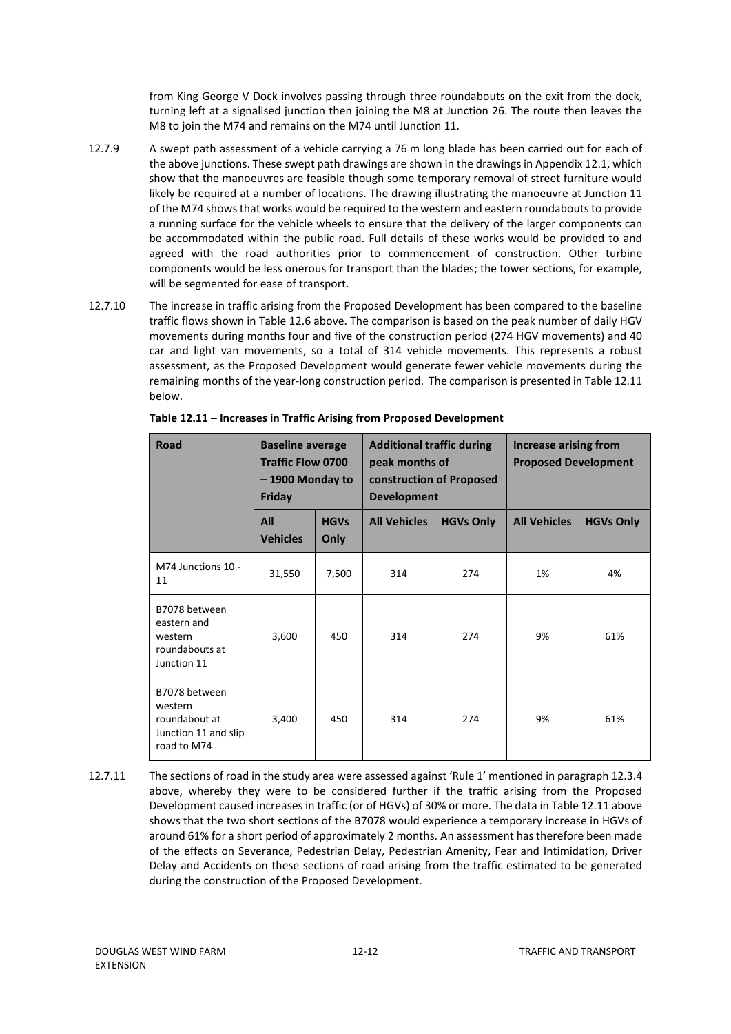from King George V Dock involves passing through three roundabouts on the exit from the dock, turning left at a signalised junction then joining the M8 at Junction 26. The route then leaves the M8 to join the M74 and remains on the M74 until Junction 11.

- 12.7.9 A swept path assessment of a vehicle carrying a 76 m long blade has been carried out for each of the above junctions. These swept path drawings are shown in the drawings in Appendix 12.1, which show that the manoeuvres are feasible though some temporary removal of street furniture would likely be required at a number of locations. The drawing illustrating the manoeuvre at Junction 11 of the M74 shows that works would be required to the western and eastern roundaboutsto provide a running surface for the vehicle wheels to ensure that the delivery of the larger components can be accommodated within the public road. Full details of these works would be provided to and agreed with the road authorities prior to commencement of construction. Other turbine components would be less onerous for transport than the blades; the tower sections, for example, will be segmented for ease of transport.
- 12.7.10 The increase in traffic arising from the Proposed Development has been compared to the baseline traffic flows shown in [Table 12.6](#page-9-1) [above.](#page-9-1) The comparison is based on the peak number of daily HGV movements during months four and five of the construction period (274 HGV movements) and 40 car and light van movements, so a total of 314 vehicle movements. This represents a robust assessment, as the Proposed Development would generate fewer vehicle movements during the remaining months of the year-long construction period. The comparison is presented i[n Table 12.11](#page-13-0) [below.](#page-13-0)

| <b>Road</b>                                                                      | <b>Baseline average</b><br><b>Traffic Flow 0700</b><br>-1900 Monday to<br>Friday |                     | <b>Additional traffic during</b><br>peak months of<br>construction of Proposed<br><b>Development</b> |                  | <b>Increase arising from</b><br><b>Proposed Development</b> |                  |  |
|----------------------------------------------------------------------------------|----------------------------------------------------------------------------------|---------------------|------------------------------------------------------------------------------------------------------|------------------|-------------------------------------------------------------|------------------|--|
|                                                                                  | All<br><b>Vehicles</b>                                                           | <b>HGVs</b><br>Only | <b>All Vehicles</b>                                                                                  | <b>HGVs Only</b> | <b>All Vehicles</b>                                         | <b>HGVs Only</b> |  |
| M74 Junctions 10 -<br>11                                                         | 31,550                                                                           | 7,500               | 314                                                                                                  | 274              | 1%                                                          | 4%               |  |
| B7078 between<br>eastern and<br>western<br>roundabouts at<br>Junction 11         | 3,600                                                                            | 450                 | 314                                                                                                  | 274              | 9%                                                          | 61%              |  |
| B7078 between<br>western<br>roundabout at<br>Junction 11 and slip<br>road to M74 | 3,400                                                                            | 450                 | 314                                                                                                  | 274              | 9%                                                          | 61%              |  |

<span id="page-13-0"></span>

| Table 12.11 - Increases in Traffic Arising from Proposed Development |  |  |  |
|----------------------------------------------------------------------|--|--|--|
|----------------------------------------------------------------------|--|--|--|

12.7.11 The sections of road in the study area were assessed against 'Rule 1' mentioned in paragrap[h 12.3.4](#page-3-2) [above,](#page-3-2) whereby they were to be considered further if the traffic arising from the Proposed Development caused increases in traffic (or of HGVs) of 30% or more. The data i[n Table 12.11](#page-13-0) [above](#page-13-0) shows that the two short sections of the B7078 would experience a temporary increase in HGVs of around 61% for a short period of approximately 2 months. An assessment has therefore been made of the effects on Severance, Pedestrian Delay, Pedestrian Amenity, Fear and Intimidation, Driver Delay and Accidents on these sections of road arising from the traffic estimated to be generated during the construction of the Proposed Development.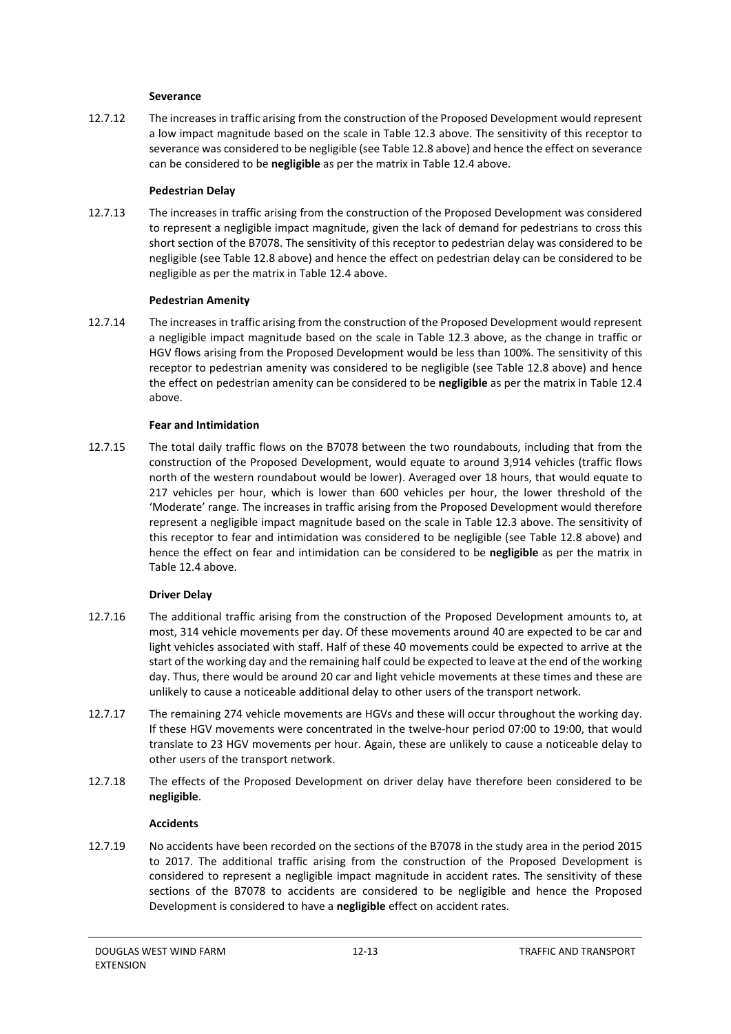#### **Severance**

12.7.12 The increases in traffic arising from the construction of the Proposed Development would represent a low impact magnitude based on the scale in [Table 12.3](#page-7-0) [above.](#page-7-0) The sensitivity of this receptor to severance was considered to be negligible (se[e Table 12.8](#page-10-1) [above\)](#page-10-1) and hence the effect on severance can be considered to be **negligible** as per the matrix i[n Table 12.4](#page-8-1) [above.](#page-8-1)

#### **Pedestrian Delay**

12.7.13 The increases in traffic arising from the construction of the Proposed Development was considered to represent a negligible impact magnitude, given the lack of demand for pedestrians to cross this short section of the B7078. The sensitivity of this receptor to pedestrian delay was considered to be negligible (see [Table 12.8](#page-10-1) [above\)](#page-10-1) and hence the effect on pedestrian delay can be considered to be negligible as per the matrix in [Table](#page-8-1) 12.4 [above.](#page-8-1)

#### **Pedestrian Amenity**

12.7.14 The increases in traffic arising from the construction of the Proposed Development would represent a negligible impact magnitude based on the scale in [Table 12.3](#page-7-0) [above,](#page-7-0) as the change in traffic or HGV flows arising from the Proposed Development would be less than 100%. The sensitivity of this receptor to pedestrian amenity was considered to be negligible (see [Table 12.8](#page-10-1) [above\)](#page-10-1) and hence the effect on pedestrian amenity can be considered to be **negligible** as per the matrix in [Table 12.4](#page-8-1) [above.](#page-8-1)

#### **Fear and Intimidation**

12.7.15 The total daily traffic flows on the B7078 between the two roundabouts, including that from the construction of the Proposed Development, would equate to around 3,914 vehicles (traffic flows north of the western roundabout would be lower). Averaged over 18 hours, that would equate to 217 vehicles per hour, which is lower than 600 vehicles per hour, the lower threshold of the 'Moderate' range. The increases in traffic arising from the Proposed Development would therefore represent a negligible impact magnitude based on the scale in [Table 12.3](#page-7-0) [above.](#page-7-0) The sensitivity of this receptor to fear and intimidation was considered to be negligible (see [Table 12.8](#page-10-1) [above\)](#page-10-1) and hence the effect on fear and intimidation can be considered to be **negligible** as per the matrix in [Table 12.4](#page-8-1) [above.](#page-8-1)

#### **Driver Delay**

- 12.7.16 The additional traffic arising from the construction of the Proposed Development amounts to, at most, 314 vehicle movements per day. Of these movements around 40 are expected to be car and light vehicles associated with staff. Half of these 40 movements could be expected to arrive at the start of the working day and the remaining half could be expected to leave at the end of the working day. Thus, there would be around 20 car and light vehicle movements at these times and these are unlikely to cause a noticeable additional delay to other users of the transport network.
- 12.7.17 The remaining 274 vehicle movements are HGVs and these will occur throughout the working day. If these HGV movements were concentrated in the twelve-hour period 07:00 to 19:00, that would translate to 23 HGV movements per hour. Again, these are unlikely to cause a noticeable delay to other users of the transport network.
- 12.7.18 The effects of the Proposed Development on driver delay have therefore been considered to be **negligible**.

#### **Accidents**

12.7.19 No accidents have been recorded on the sections of the B7078 in the study area in the period 2015 to 2017. The additional traffic arising from the construction of the Proposed Development is considered to represent a negligible impact magnitude in accident rates. The sensitivity of these sections of the B7078 to accidents are considered to be negligible and hence the Proposed Development is considered to have a **negligible** effect on accident rates.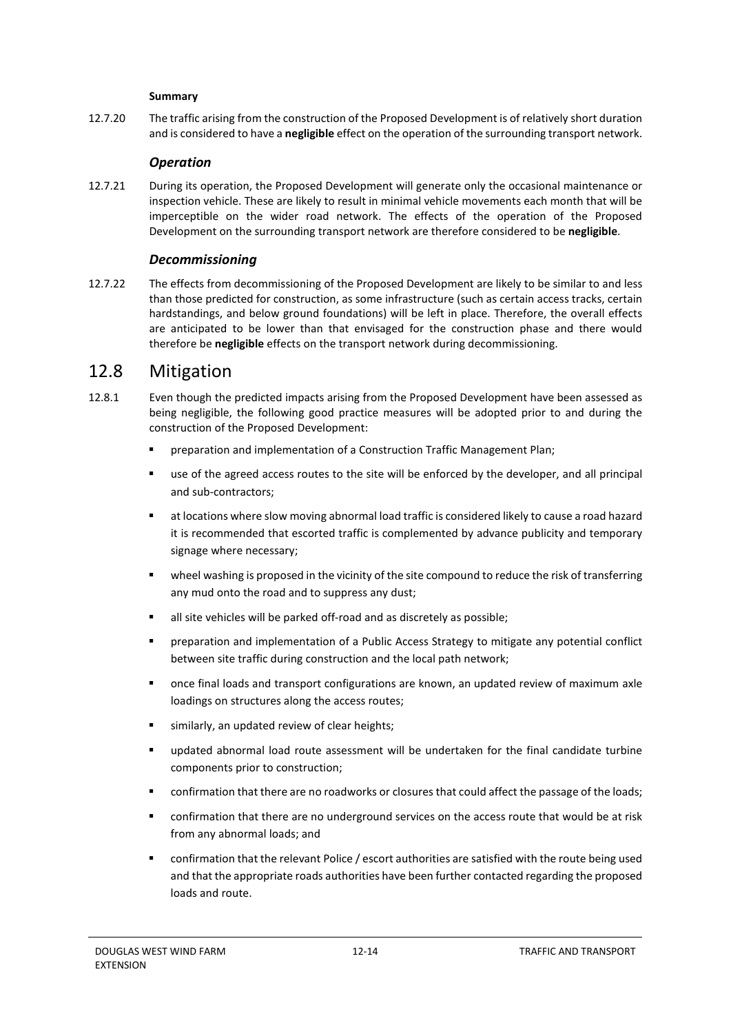#### **Summary**

12.7.20 The traffic arising from the construction of the Proposed Development is of relatively short duration and is considered to have a **negligible** effect on the operation of the surrounding transport network.

### *Operation*

12.7.21 During its operation, the Proposed Development will generate only the occasional maintenance or inspection vehicle. These are likely to result in minimal vehicle movements each month that will be imperceptible on the wider road network. The effects of the operation of the Proposed Development on the surrounding transport network are therefore considered to be **negligible**.

### *Decommissioning*

12.7.22 The effects from decommissioning of the Proposed Development are likely to be similar to and less than those predicted for construction, as some infrastructure (such as certain access tracks, certain hardstandings, and below ground foundations) will be left in place. Therefore, the overall effects are anticipated to be lower than that envisaged for the construction phase and there would therefore be **negligible** effects on the transport network during decommissioning.

## <span id="page-15-0"></span>12.8 Mitigation

- 12.8.1 Even though the predicted impacts arising from the Proposed Development have been assessed as being negligible, the following good practice measures will be adopted prior to and during the construction of the Proposed Development:
	- **Philter 20 and 30 and implementation of a Construction Traffic Management Plan;**
	- use of the agreed access routes to the site will be enforced by the developer, and all principal and sub-contractors;
	- at locations where slow moving abnormal load traffic is considered likely to cause a road hazard it is recommended that escorted traffic is complemented by advance publicity and temporary signage where necessary;
	- wheel washing is proposed in the vicinity of the site compound to reduce the risk of transferring any mud onto the road and to suppress any dust;
	- all site vehicles will be parked off-road and as discretely as possible;
	- preparation and implementation of a Public Access Strategy to mitigate any potential conflict between site traffic during construction and the local path network;
	- once final loads and transport configurations are known, an updated review of maximum axle loadings on structures along the access routes;
	- similarly, an updated review of clear heights:
	- updated abnormal load route assessment will be undertaken for the final candidate turbine components prior to construction;
	- **•** confirmation that there are no roadworks or closures that could affect the passage of the loads;
	- confirmation that there are no underground services on the access route that would be at risk from any abnormal loads; and
	- confirmation that the relevant Police / escort authorities are satisfied with the route being used and that the appropriate roads authorities have been further contacted regarding the proposed loads and route.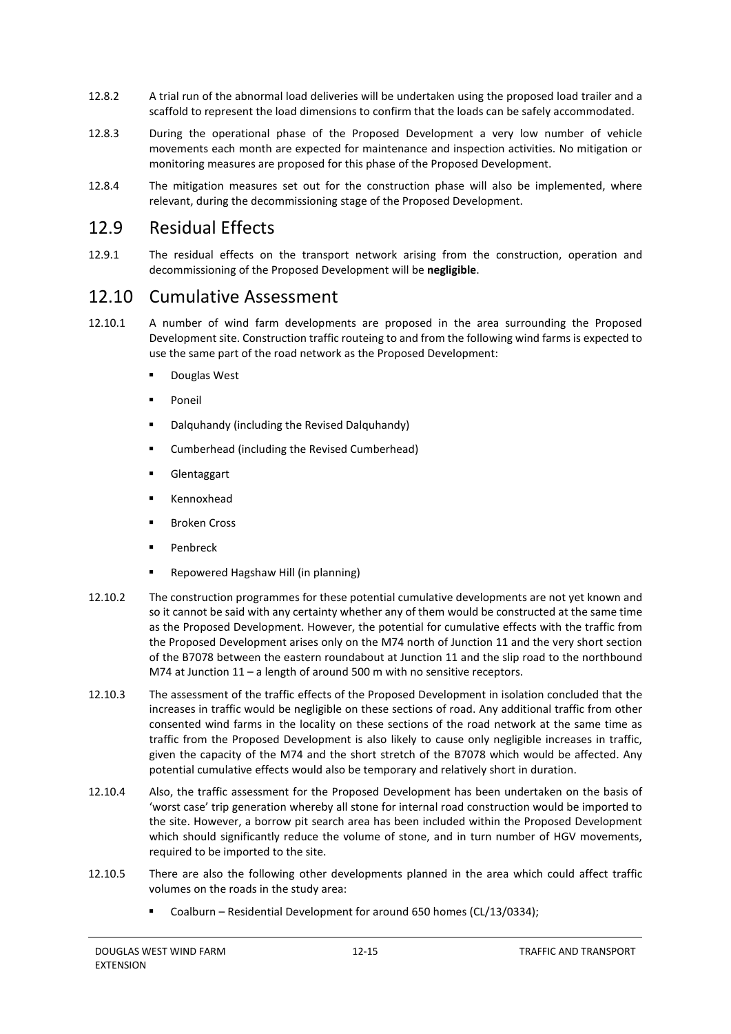- 12.8.2 A trial run of the abnormal load deliveries will be undertaken using the proposed load trailer and a scaffold to represent the load dimensions to confirm that the loads can be safely accommodated.
- 12.8.3 During the operational phase of the Proposed Development a very low number of vehicle movements each month are expected for maintenance and inspection activities. No mitigation or monitoring measures are proposed for this phase of the Proposed Development.
- 12.8.4 The mitigation measures set out for the construction phase will also be implemented, where relevant, during the decommissioning stage of the Proposed Development.

## <span id="page-16-0"></span>12.9 Residual Effects

12.9.1 The residual effects on the transport network arising from the construction, operation and decommissioning of the Proposed Development will be **negligible**.

## <span id="page-16-1"></span>12.10 Cumulative Assessment

- 12.10.1 A number of wind farm developments are proposed in the area surrounding the Proposed Development site. Construction traffic routeing to and from the following wind farms is expected to use the same part of the road network as the Proposed Development:
	- **Douglas West**
	- **Poneil**
	- **•** Dalquhandy (including the Revised Dalquhandy)
	- Cumberhead (including the Revised Cumberhead)
	- **Glentaggart**
	- **E** Kennoxhead
	- **Broken Cross**
	- **Penbreck**
	- Repowered Hagshaw Hill (in planning)
- 12.10.2 The construction programmes for these potential cumulative developments are not yet known and so it cannot be said with any certainty whether any of them would be constructed at the same time as the Proposed Development. However, the potential for cumulative effects with the traffic from the Proposed Development arises only on the M74 north of Junction 11 and the very short section of the B7078 between the eastern roundabout at Junction 11 and the slip road to the northbound M74 at Junction 11 – a length of around 500 m with no sensitive receptors.
- 12.10.3 The assessment of the traffic effects of the Proposed Development in isolation concluded that the increases in traffic would be negligible on these sections of road. Any additional traffic from other consented wind farms in the locality on these sections of the road network at the same time as traffic from the Proposed Development is also likely to cause only negligible increases in traffic, given the capacity of the M74 and the short stretch of the B7078 which would be affected. Any potential cumulative effects would also be temporary and relatively short in duration.
- 12.10.4 Also, the traffic assessment for the Proposed Development has been undertaken on the basis of 'worst case' trip generation whereby all stone for internal road construction would be imported to the site. However, a borrow pit search area has been included within the Proposed Development which should significantly reduce the volume of stone, and in turn number of HGV movements, required to be imported to the site.
- 12.10.5 There are also the following other developments planned in the area which could affect traffic volumes on the roads in the study area:
	- Coalburn Residential Development for around 650 homes (CL/13/0334);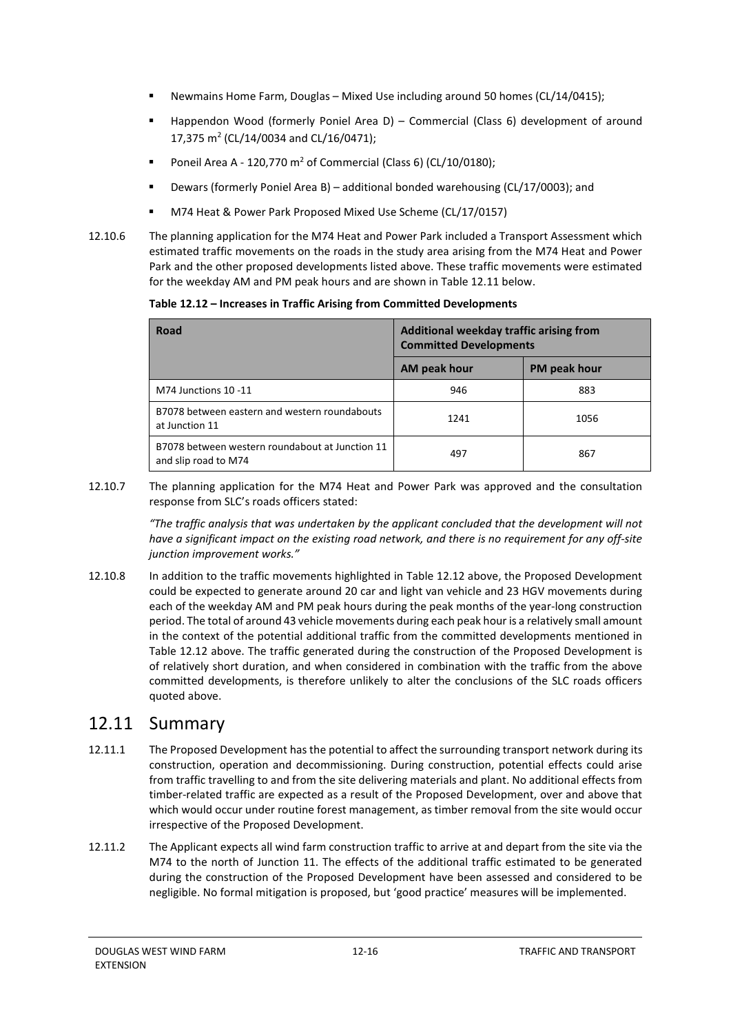- Newmains Home Farm, Douglas Mixed Use including around 50 homes (CL/14/0415);
- Happendon Wood (formerly Poniel Area D) Commercial (Class 6) development of around 17,375  $m^2$  (CL/14/0034 and CL/16/0471);
- Poneil Area A 120,770 m2 of Commercial (Class 6) (CL/10/0180);
- Dewars (formerly Poniel Area B) additional bonded warehousing (CL/17/0003); and
- M74 Heat & Power Park Proposed Mixed Use Scheme (CL/17/0157)
- 12.10.6 The planning application for the M74 Heat and Power Park included a Transport Assessment which estimated traffic movements on the roads in the study area arising from the M74 Heat and Power Park and the other proposed developments listed above. These traffic movements were estimated for the weekday AM and PM peak hours and are shown in Table 12.11 [below.](#page-17-1)

<span id="page-17-2"></span><span id="page-17-1"></span>**Table 12.12 – Increases in Traffic Arising from Committed Developments**

| Road                                                                    | Additional weekday traffic arising from<br><b>Committed Developments</b> |              |  |  |
|-------------------------------------------------------------------------|--------------------------------------------------------------------------|--------------|--|--|
|                                                                         | AM peak hour                                                             | PM peak hour |  |  |
| M74 Junctions 10 -11                                                    | 946                                                                      | 883          |  |  |
| B7078 between eastern and western roundabouts<br>at Junction 11         | 1241                                                                     | 1056         |  |  |
| B7078 between western roundabout at Junction 11<br>and slip road to M74 | 497                                                                      | 867          |  |  |

12.10.7 The planning application for the M74 Heat and Power Park was approved and the consultation response from SLC's roads officers stated:

> *"The traffic analysis that was undertaken by the applicant concluded that the development will not have a significant impact on the existing road network, and there is no requirement for any off-site junction improvement works."*

12.10.8 In addition to the traffic movements highlighted in [Table 12.12](#page-17-2) [above,](#page-17-2) the Proposed Development could be expected to generate around 20 car and light van vehicle and 23 HGV movements during each of the weekday AM and PM peak hours during the peak months of the year-long construction period. The total of around 43 vehicle movements during each peak hour is a relatively small amount in the context of the potential additional traffic from the committed developments mentioned in [Table 12.12](#page-17-2) [above.](#page-17-2) The traffic generated during the construction of the Proposed Development is of relatively short duration, and when considered in combination with the traffic from the above committed developments, is therefore unlikely to alter the conclusions of the SLC roads officers quoted above.

## <span id="page-17-0"></span>12.11 Summary

- 12.11.1 The Proposed Development has the potential to affect the surrounding transport network during its construction, operation and decommissioning. During construction, potential effects could arise from traffic travelling to and from the site delivering materials and plant. No additional effects from timber-related traffic are expected as a result of the Proposed Development, over and above that which would occur under routine forest management, as timber removal from the site would occur irrespective of the Proposed Development.
- 12.11.2 The Applicant expects all wind farm construction traffic to arrive at and depart from the site via the M74 to the north of Junction 11. The effects of the additional traffic estimated to be generated during the construction of the Proposed Development have been assessed and considered to be negligible. No formal mitigation is proposed, but 'good practice' measures will be implemented.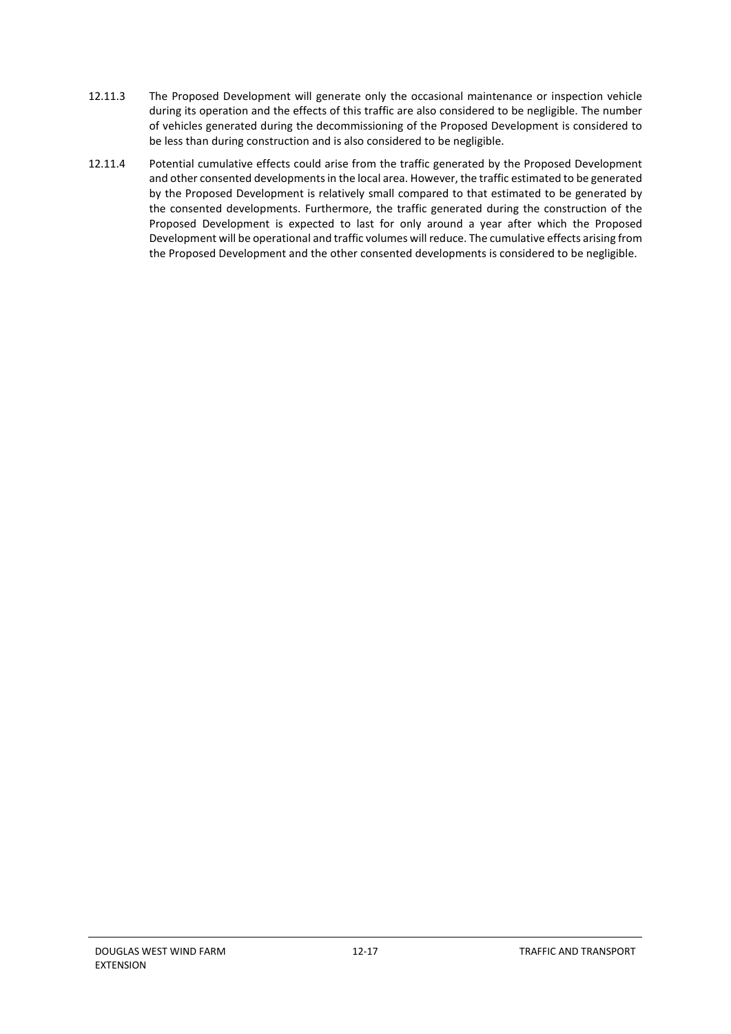- 12.11.3 The Proposed Development will generate only the occasional maintenance or inspection vehicle during its operation and the effects of this traffic are also considered to be negligible. The number of vehicles generated during the decommissioning of the Proposed Development is considered to be less than during construction and is also considered to be negligible.
- 12.11.4 Potential cumulative effects could arise from the traffic generated by the Proposed Development and other consented developmentsin the local area. However, the traffic estimated to be generated by the Proposed Development is relatively small compared to that estimated to be generated by the consented developments. Furthermore, the traffic generated during the construction of the Proposed Development is expected to last for only around a year after which the Proposed Development will be operational and traffic volumes will reduce. The cumulative effects arising from the Proposed Development and the other consented developments is considered to be negligible.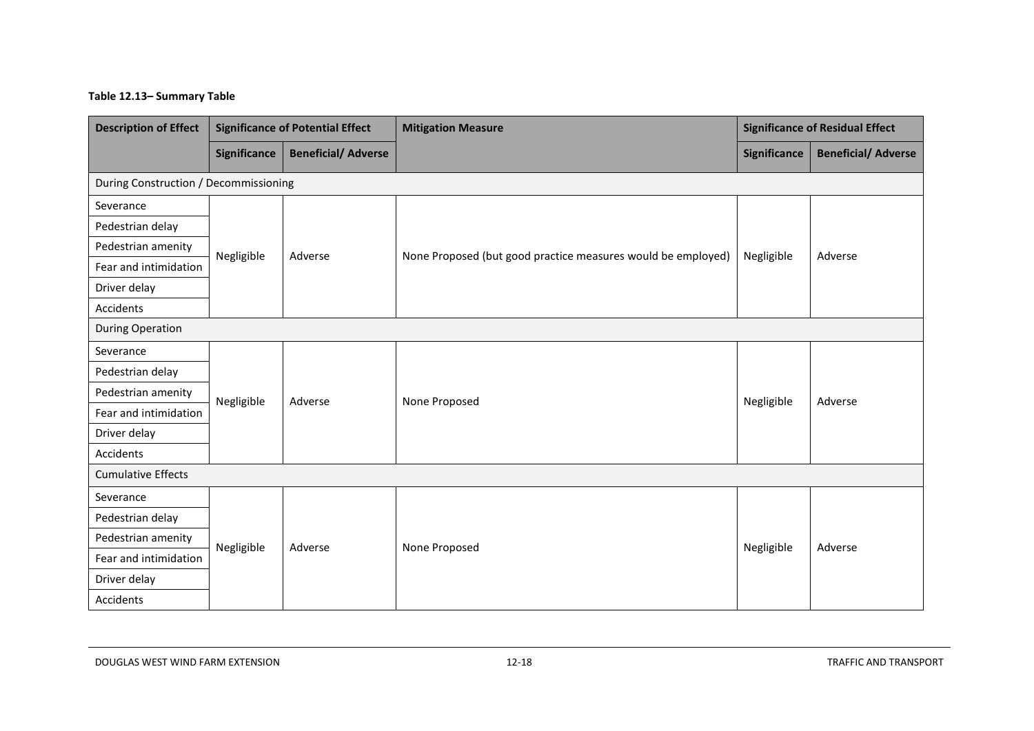#### **Table 12.13– Summary Table**

| <b>Description of Effect</b>          | <b>Significance of Potential Effect</b> |                            | <b>Mitigation Measure</b>                                    | <b>Significance of Residual Effect</b> |                            |  |
|---------------------------------------|-----------------------------------------|----------------------------|--------------------------------------------------------------|----------------------------------------|----------------------------|--|
|                                       | Significance                            | <b>Beneficial/ Adverse</b> |                                                              | <b>Significance</b>                    | <b>Beneficial/ Adverse</b> |  |
| During Construction / Decommissioning |                                         |                            |                                                              |                                        |                            |  |
| Severance                             |                                         |                            |                                                              |                                        |                            |  |
| Pedestrian delay                      |                                         |                            |                                                              |                                        |                            |  |
| Pedestrian amenity                    | Negligible                              | Adverse                    | None Proposed (but good practice measures would be employed) | Negligible                             | Adverse                    |  |
| Fear and intimidation                 |                                         |                            |                                                              |                                        |                            |  |
| Driver delay                          |                                         |                            |                                                              |                                        |                            |  |
| Accidents                             |                                         |                            |                                                              |                                        |                            |  |
| <b>During Operation</b>               |                                         |                            |                                                              |                                        |                            |  |
| Severance                             |                                         |                            |                                                              |                                        |                            |  |
| Pedestrian delay                      |                                         |                            |                                                              |                                        |                            |  |
| Pedestrian amenity                    | Negligible                              | Adverse                    | None Proposed                                                | Negligible                             | Adverse                    |  |
| Fear and intimidation                 |                                         |                            |                                                              |                                        |                            |  |
| Driver delay                          |                                         |                            |                                                              |                                        |                            |  |
| Accidents                             |                                         |                            |                                                              |                                        |                            |  |
| <b>Cumulative Effects</b>             |                                         |                            |                                                              |                                        |                            |  |
| Severance                             |                                         |                            |                                                              |                                        |                            |  |
| Pedestrian delay                      |                                         |                            |                                                              |                                        |                            |  |
| Pedestrian amenity                    |                                         |                            | None Proposed                                                |                                        |                            |  |
| Fear and intimidation                 | Negligible                              | Adverse                    |                                                              | Negligible                             | Adverse                    |  |
| Driver delay                          |                                         |                            |                                                              |                                        |                            |  |
| Accidents                             |                                         |                            |                                                              |                                        |                            |  |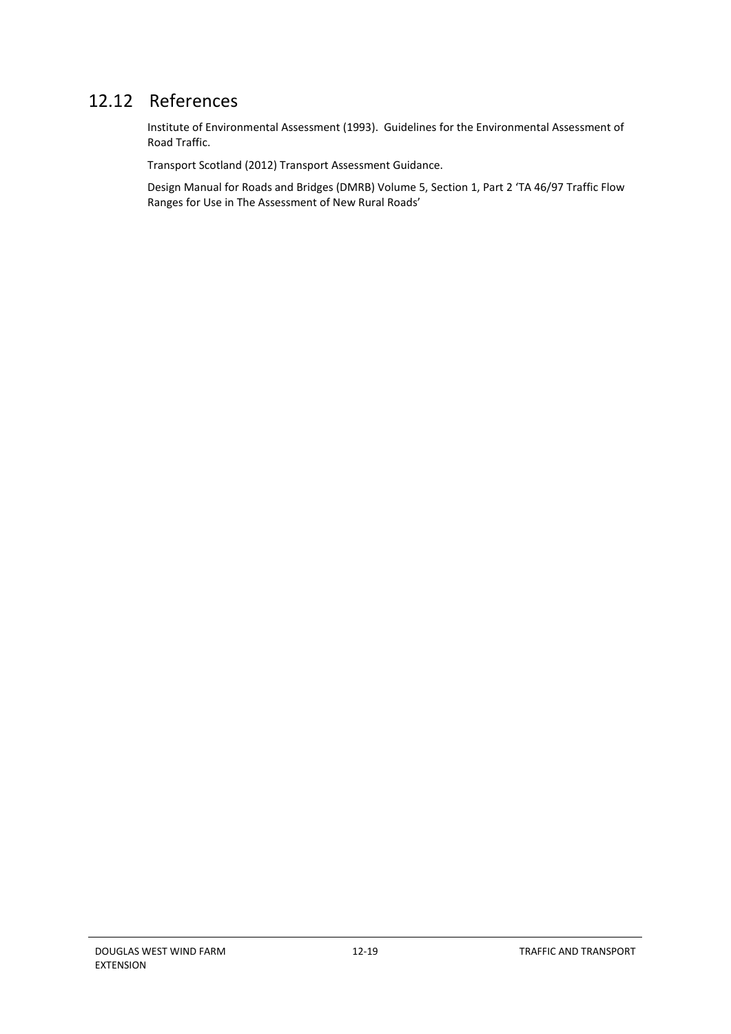## <span id="page-20-0"></span>12.12 References

Institute of Environmental Assessment (1993). Guidelines for the Environmental Assessment of Road Traffic.

Transport Scotland (2012) Transport Assessment Guidance.

Design Manual for Roads and Bridges (DMRB) Volume 5, Section 1, Part 2 'TA 46/97 Traffic Flow Ranges for Use in The Assessment of New Rural Roads'